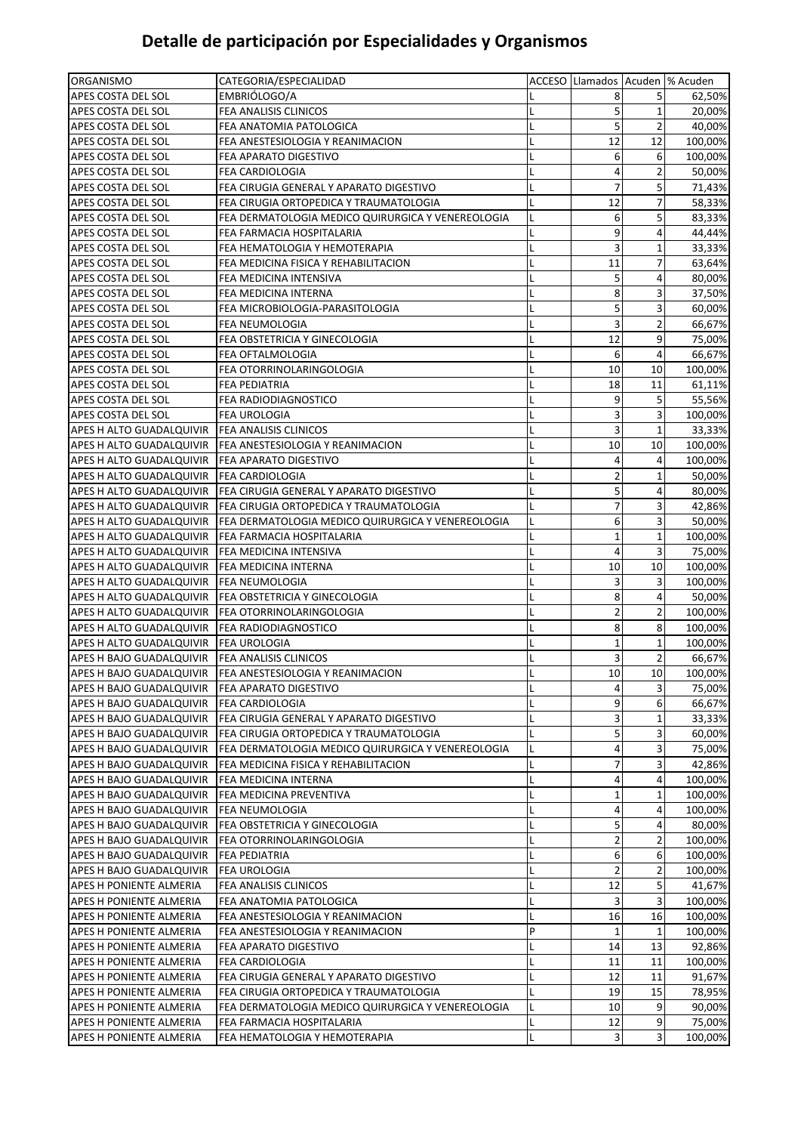## **Detalle de participación por Especialidades y Organismos**

| ORGANISMO                                        | CATEGORIA/ESPECIALIDAD                                             |   | ACCESO Llamados Acuden  % Acuden |                |         |
|--------------------------------------------------|--------------------------------------------------------------------|---|----------------------------------|----------------|---------|
| APES COSTA DEL SOL                               | EMBRIÓLOGO/A                                                       |   | 8                                | 5              | 62,50%  |
| APES COSTA DEL SOL                               | FEA ANALISIS CLINICOS                                              | L | 5                                | 1              | 20,00%  |
| APES COSTA DEL SOL                               | FEA ANATOMIA PATOLOGICA                                            | L | 5                                | $\overline{2}$ | 40,00%  |
| APES COSTA DEL SOL                               | FEA ANESTESIOLOGIA Y REANIMACION                                   | L | 12                               | 12             | 100,00% |
| APES COSTA DEL SOL                               | FEA APARATO DIGESTIVO                                              | L | 6                                | 6              | 100,00% |
| APES COSTA DEL SOL                               | FEA CARDIOLOGIA                                                    |   | 4                                | 2              | 50,00%  |
| APES COSTA DEL SOL                               | FEA CIRUGIA GENERAL Y APARATO DIGESTIVO                            |   | 7                                | 5              | 71,43%  |
| APES COSTA DEL SOL                               | FEA CIRUGIA ORTOPEDICA Y TRAUMATOLOGIA                             | L | 12                               | 7              | 58,33%  |
| APES COSTA DEL SOL                               | FEA DERMATOLOGIA MEDICO QUIRURGICA Y VENEREOLOGIA                  | L | 6                                | 5              | 83,33%  |
| APES COSTA DEL SOL                               | FEA FARMACIA HOSPITALARIA                                          |   | 9                                | 4              | 44,44%  |
| APES COSTA DEL SOL                               | FEA HEMATOLOGIA Y HEMOTERAPIA                                      | L | 3                                | 1              | 33,33%  |
| APES COSTA DEL SOL                               | FEA MEDICINA FISICA Y REHABILITACION                               | L | 11                               | 7              | 63,64%  |
| APES COSTA DEL SOL                               | FEA MEDICINA INTENSIVA                                             | L | 5                                | 4              | 80,00%  |
| APES COSTA DEL SOL                               | FEA MEDICINA INTERNA                                               | L | 8                                | 3              | 37,50%  |
| APES COSTA DEL SOL                               | FEA MICROBIOLOGIA-PARASITOLOGIA                                    | L | 5                                | 3              | 60,00%  |
| APES COSTA DEL SOL                               | FEA NEUMOLOGIA                                                     |   | 3                                | $\overline{2}$ | 66,67%  |
| APES COSTA DEL SOL                               | FEA OBSTETRICIA Y GINECOLOGIA                                      |   | 12                               | 9              | 75,00%  |
| APES COSTA DEL SOL                               | FEA OFTALMOLOGIA                                                   | L | 6                                | 4              | 66,67%  |
| APES COSTA DEL SOL                               | FEA OTORRINOLARINGOLOGIA                                           | L | 10                               | 10             | 100,00% |
| APES COSTA DEL SOL                               | <b>FEA PEDIATRIA</b>                                               | L | 18                               | 11             | 61,11%  |
| APES COSTA DEL SOL                               | FEA RADIODIAGNOSTICO                                               | L | 9                                | 5              | 55,56%  |
| APES COSTA DEL SOL                               | <b>FEA UROLOGIA</b>                                                | L | 3                                | 3              | 100,00% |
| APES H ALTO GUADALQUIVIR                         | <b>FEA ANALISIS CLINICOS</b>                                       |   | 3                                | $\mathbf{1}$   | 33,33%  |
| APES H ALTO GUADALQUIVIR                         | <b>FEA ANESTESIOLOGIA Y REANIMACION</b>                            |   | 10                               | 10             | 100,00% |
| APES H ALTO GUADALQUIVIR                         | <b>FEA APARATO DIGESTIVO</b>                                       | L | 4                                | 4              | 100,00% |
| APES H ALTO GUADALQUIVIR                         | FEA CARDIOLOGIA                                                    |   | 2                                | 1              | 50,00%  |
| APES H ALTO GUADALQUIVIR                         | FEA CIRUGIA GENERAL Y APARATO DIGESTIVO                            |   | 5                                | 4              | 80,00%  |
| APES H ALTO GUADALQUIVIR                         | FEA CIRUGIA ORTOPEDICA Y TRAUMATOLOGIA                             | L | 7                                | 3              | 42,86%  |
| APES H ALTO GUADALQUIVIR                         | FEA DERMATOLOGIA MEDICO QUIRURGICA Y VENEREOLOGIA                  | L | 6                                | 3              | 50,00%  |
| APES H ALTO GUADALQUIVIR                         | FEA FARMACIA HOSPITALARIA                                          | L | 1                                | 1              | 100,00% |
| APES H ALTO GUADALQUIVIR                         | FEA MEDICINA INTENSIVA                                             |   | 4                                | 3              | 75,00%  |
| APES H ALTO GUADALQUIVIR                         | <b>FEA MEDICINA INTERNA</b>                                        |   | 10                               | 10             | 100,00% |
| APES H ALTO GUADALQUIVIR                         | <b>FEA NEUMOLOGIA</b>                                              | L | 3                                | 3              | 100,00% |
| APES H ALTO GUADALQUIVIR                         | FEA OBSTETRICIA Y GINECOLOGIA                                      | L | 8                                | 4              | 50,00%  |
| APES H ALTO GUADALQUIVIR                         | <b>FEA OTORRINOLARINGOLOGIA</b>                                    | L | 2                                | $\overline{2}$ | 100,00% |
| APES H ALTO GUADALQUIVIR                         | <b>FEA RADIODIAGNOSTICO</b>                                        | L | 8                                | 8              | 100,00% |
| APES H ALTO GUADALQUIVIR                         | <b>FEA UROLOGIA</b>                                                | L | $\mathbf{1}$                     | $\mathbf 1$    | 100,00% |
| APES H BAJO GUADALQUIVIR                         | <b>FEA ANALISIS CLINICOS</b>                                       | L | 3                                | $\overline{2}$ | 66,67%  |
|                                                  | APES H BAJO GUADALQUIVIR   FEA ANESTESIOLOGIA Y REANIMACION        | L | $10\,$                           | 10             | 100,00% |
| APES H BAJO GUADALQUIVIR   FEA APARATO DIGESTIVO |                                                                    |   | 4                                | 3              | 75,00%  |
| APES H BAJO GUADALQUIVIR                         | <b>FEA CARDIOLOGIA</b>                                             | L | 9                                | 6              | 66,67%  |
|                                                  | APES H BAJO GUADALQUIVIR   FEA CIRUGIA GENERAL Y APARATO DIGESTIVO | L | 3                                | $\mathbf{1}$   | 33,33%  |
| APES H BAJO GUADALQUIVIR                         | <b>FEA CIRUGIA ORTOPEDICA Y TRAUMATOLOGIA</b>                      | L | 5                                | 3              | 60,00%  |
| APES H BAJO GUADALQUIVIR                         | FEA DERMATOLOGIA MEDICO QUIRURGICA Y VENEREOLOGIA                  | L | 4                                | 3              | 75,00%  |
| APES H BAJO GUADALQUIVIR                         | <b>FEA MEDICINA FISICA Y REHABILITACION</b>                        | L | 7                                | 3              | 42,86%  |
| APES H BAJO GUADALQUIVIR                         | <b>FEA MEDICINA INTERNA</b>                                        | L | 4                                | 4              | 100,00% |
| APES H BAJO GUADALQUIVIR                         | <b>FEA MEDICINA PREVENTIVA</b>                                     | L | 1                                | 1              | 100,00% |
| APES H BAJO GUADALQUIVIR                         | <b>FEA NEUMOLOGIA</b>                                              |   | 4                                | 4              | 100,00% |
| APES H BAJO GUADALQUIVIR                         | <b>FEA OBSTETRICIA Y GINECOLOGIA</b>                               | L | 5                                | 4              | 80,00%  |
| APES H BAJO GUADALQUIVIR                         | <b>FEA OTORRINOLARINGOLOGIA</b>                                    | L | 2                                | $\overline{2}$ | 100,00% |
| APES H BAJO GUADALQUIVIR                         | <b>FEA PEDIATRIA</b>                                               | L | 6                                | 6              | 100,00% |
| APES H BAJO GUADALQUIVIR                         | <b>FEA UROLOGIA</b>                                                |   | 2                                | 2              | 100,00% |
| APES H PONIENTE ALMERIA                          | FEA ANALISIS CLINICOS                                              | L | 12                               | 5              | 41,67%  |
| APES H PONIENTE ALMERIA                          | FEA ANATOMIA PATOLOGICA                                            | L |                                  | 3              | 100,00% |
| APES H PONIENTE ALMERIA                          | FEA ANESTESIOLOGIA Y REANIMACION                                   | L | 16                               | 16             | 100,00% |
| APES H PONIENTE ALMERIA                          | FEA ANESTESIOLOGIA Y REANIMACION                                   | P | 1                                | 1              | 100,00% |
| APES H PONIENTE ALMERIA                          | FEA APARATO DIGESTIVO                                              | L | 14                               | 13             | 92,86%  |
| APES H PONIENTE ALMERIA                          | FEA CARDIOLOGIA                                                    | L | 11                               | 11             | 100,00% |
| APES H PONIENTE ALMERIA                          | FEA CIRUGIA GENERAL Y APARATO DIGESTIVO                            | L | 12                               | 11             | 91,67%  |
| APES H PONIENTE ALMERIA                          | FEA CIRUGIA ORTOPEDICA Y TRAUMATOLOGIA                             | L | 19                               | 15             | 78,95%  |
| APES H PONIENTE ALMERIA                          | FEA DERMATOLOGIA MEDICO QUIRURGICA Y VENEREOLOGIA                  | Г | 10                               | 9              | 90,00%  |
| APES H PONIENTE ALMERIA                          | FEA FARMACIA HOSPITALARIA                                          | L | 12                               | 9              | 75,00%  |
| APES H PONIENTE ALMERIA                          | FEA HEMATOLOGIA Y HEMOTERAPIA                                      | L | 3                                | 3              | 100,00% |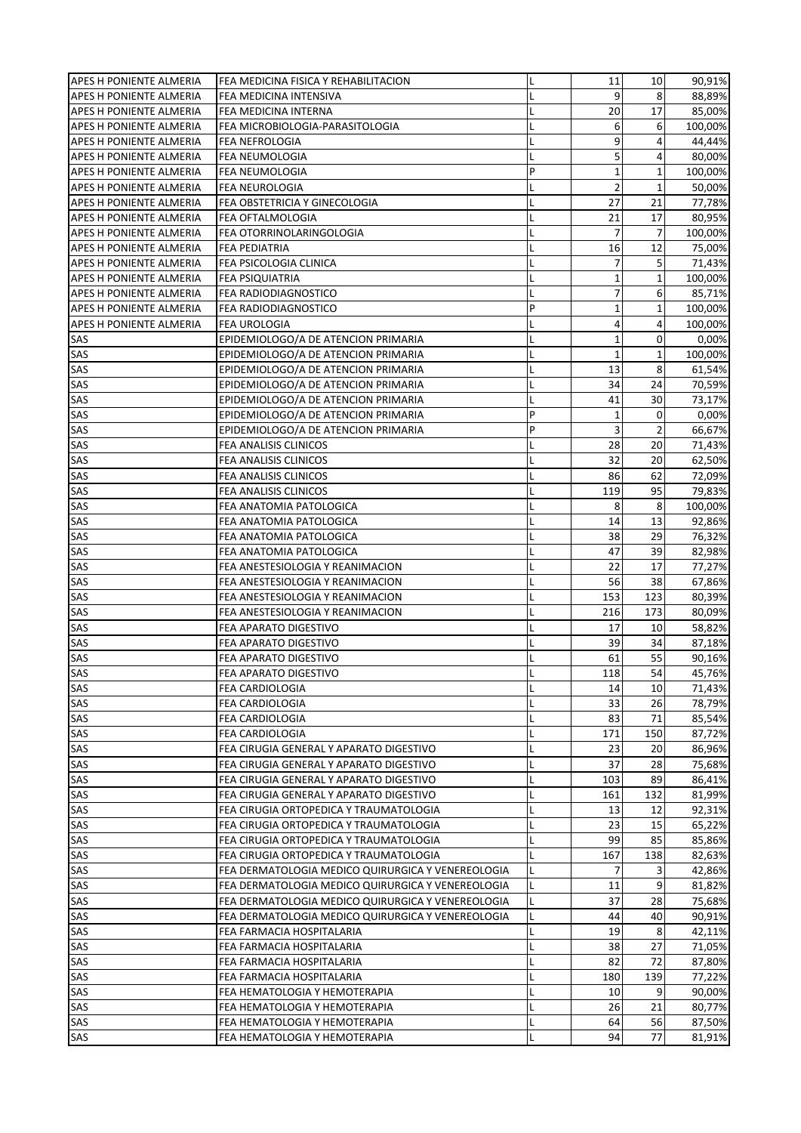| APES H PONIENTE ALMERIA        | FEA MEDICINA FISICA Y REHABILITACION              | L | 11             | 10             | 90,91%  |
|--------------------------------|---------------------------------------------------|---|----------------|----------------|---------|
| APES H PONIENTE ALMERIA        | FEA MEDICINA INTENSIVA                            | L | 9              | 8              | 88,89%  |
| <b>APES H PONIENTE ALMERIA</b> | FEA MEDICINA INTERNA                              |   | 20             | 17             | 85,00%  |
| <b>APES H PONIENTE ALMERIA</b> | FEA MICROBIOLOGIA-PARASITOLOGIA                   | L | 6              | 6              | 100,00% |
| <b>APES H PONIENTE ALMERIA</b> | <b>FEA NEFROLOGIA</b>                             | L | 9              | 4              | 44,44%  |
| APES H PONIENTE ALMERIA        | FEA NEUMOLOGIA                                    |   | 5              | 4              | 80,00%  |
| <b>APES H PONIENTE ALMERIA</b> | FEA NEUMOLOGIA                                    | P | 1              | $\mathbf{1}$   | 100,00% |
| APES H PONIENTE ALMERIA        | FEA NEUROLOGIA                                    | L | 2              | $\mathbf{1}$   | 50,00%  |
| APES H PONIENTE ALMERIA        | FEA OBSTETRICIA Y GINECOLOGIA                     | L | 27             | 21             | 77,78%  |
| APES H PONIENTE ALMERIA        | FEA OFTALMOLOGIA                                  | L | 21             | 17             | 80,95%  |
| APES H PONIENTE ALMERIA        | FEA OTORRINOLARINGOLOGIA                          |   | $\overline{7}$ | $\overline{7}$ | 100,00% |
| <b>APES H PONIENTE ALMERIA</b> | FEA PEDIATRIA                                     | L | 16             | 12             | 75,00%  |
| <b>APES H PONIENTE ALMERIA</b> | FEA PSICOLOGIA CLINICA                            | L | 7              | 5              | 71,43%  |
| APES H PONIENTE ALMERIA        | <b>FEA PSIQUIATRIA</b>                            | L | 1              | $\mathbf{1}$   | 100,00% |
| APES H PONIENTE ALMERIA        | FEA RADIODIAGNOSTICO                              | Г | 7              | 6              | 85,71%  |
| APES H PONIENTE ALMERIA        | FEA RADIODIAGNOSTICO                              | P | 1              | $\mathbf 1$    | 100,00% |
| APES H PONIENTE ALMERIA        | FEA UROLOGIA                                      | L | 4              | 4              | 100,00% |
| SAS                            | EPIDEMIOLOGO/A DE ATENCION PRIMARIA               | L | $\mathbf{1}$   | 0              | 0,00%   |
| SAS                            | EPIDEMIOLOGO/A DE ATENCION PRIMARIA               | L | $\mathbf{1}$   | $\mathbf 1$    | 100,00% |
| SAS                            | EPIDEMIOLOGO/A DE ATENCION PRIMARIA               | L | 13             | 8              | 61,54%  |
| SAS                            | EPIDEMIOLOGO/A DE ATENCION PRIMARIA               | L | 34             | 24             | 70,59%  |
| SAS                            | EPIDEMIOLOGO/A DE ATENCION PRIMARIA               | L | 41             | 30             | 73,17%  |
| SAS                            | EPIDEMIOLOGO/A DE ATENCION PRIMARIA               | P | 1              | 0              | 0,00%   |
| SAS                            | EPIDEMIOLOGO/A DE ATENCION PRIMARIA               | P | 3              | 2              | 66,67%  |
| SAS                            | FEA ANALISIS CLINICOS                             | L | 28             | 20             | 71,43%  |
| SAS                            | FEA ANALISIS CLINICOS                             | L | 32             | 20             | 62,50%  |
| SAS                            | FEA ANALISIS CLINICOS                             | L | 86             | 62             | 72,09%  |
| SAS                            | FEA ANALISIS CLINICOS                             |   | 119            | 95             | 79,83%  |
| SAS                            | FEA ANATOMIA PATOLOGICA                           |   | 8              | 8              | 100,00% |
| SAS                            | FEA ANATOMIA PATOLOGICA                           |   | 14             | 13             | 92,86%  |
| SAS                            | FEA ANATOMIA PATOLOGICA                           | L | 38             | 29             | 76,32%  |
| SAS                            | FEA ANATOMIA PATOLOGICA                           |   | 47             | 39             | 82,98%  |
| SAS                            | FEA ANESTESIOLOGIA Y REANIMACION                  | L | 22             | 17             | 77,27%  |
| SAS                            | FEA ANESTESIOLOGIA Y REANIMACION                  | L | 56             | 38             | 67,86%  |
| SAS                            | FEA ANESTESIOLOGIA Y REANIMACION                  | L | 153            | 123            | 80,39%  |
| SAS                            | FEA ANESTESIOLOGIA Y REANIMACION                  | L | 216            | 173            | 80,09%  |
| SAS                            | FEA APARATO DIGESTIVO                             | L | 17             | 10             | 58,82%  |
| SAS                            | FEA APARATO DIGESTIVO                             | L | 39             | 34             | 87,18%  |
| SAS                            | FEA APARATO DIGESTIVO                             |   | 61             | 55             | 90,16%  |
| <b>SAS</b>                     | FEA APARATO DIGESTIVO                             |   | 118            | 54             | 45,76%  |
| SAS                            | <b>FEA CARDIOLOGIA</b>                            | L | 14             | 10             | 71,43%  |
| SAS                            | FEA CARDIOLOGIA                                   | L | 33             | 26             | 78,79%  |
| SAS                            | FEA CARDIOLOGIA                                   | L | 83             | 71             | 85,54%  |
| SAS                            | <b>FEA CARDIOLOGIA</b>                            | L | 171            | 150            | 87,72%  |
| SAS                            | FEA CIRUGIA GENERAL Y APARATO DIGESTIVO           |   | 23             | 20             | 86,96%  |
| SAS                            | FEA CIRUGIA GENERAL Y APARATO DIGESTIVO           | L | 37             | 28             | 75,68%  |
| SAS                            | FEA CIRUGIA GENERAL Y APARATO DIGESTIVO           | L | 103            | 89             | 86,41%  |
| SAS                            | FEA CIRUGIA GENERAL Y APARATO DIGESTIVO           | L | 161            | 132            | 81,99%  |
| SAS                            | FEA CIRUGIA ORTOPEDICA Y TRAUMATOLOGIA            | L | 13             | 12             | 92,31%  |
| SAS                            | FEA CIRUGIA ORTOPEDICA Y TRAUMATOLOGIA            | L | 23             | 15             | 65,22%  |
| SAS                            | FEA CIRUGIA ORTOPEDICA Y TRAUMATOLOGIA            | L | 99             | 85             | 85,86%  |
| SAS                            | FEA CIRUGIA ORTOPEDICA Y TRAUMATOLOGIA            | L | 167            | 138            | 82,63%  |
| SAS                            | FEA DERMATOLOGIA MEDICO QUIRURGICA Y VENEREOLOGIA |   | 7              | 3              | 42,86%  |
| SAS                            | FEA DERMATOLOGIA MEDICO QUIRURGICA Y VENEREOLOGIA | L | 11             | 9              | 81,82%  |
| SAS                            | FEA DERMATOLOGIA MEDICO QUIRURGICA Y VENEREOLOGIA | L | 37             | 28             | 75,68%  |
| SAS                            | FEA DERMATOLOGIA MEDICO QUIRURGICA Y VENEREOLOGIA | L | 44             | 40             | 90,91%  |
| SAS                            | FEA FARMACIA HOSPITALARIA                         | L | 19             | 8              | 42,11%  |
| SAS                            | FEA FARMACIA HOSPITALARIA                         | L | 38             | 27             | 71,05%  |
| SAS                            | FEA FARMACIA HOSPITALARIA                         | L | 82             | 72             | 87,80%  |
| SAS                            | FEA FARMACIA HOSPITALARIA                         | L | 180            | 139            | 77,22%  |
| SAS                            | FEA HEMATOLOGIA Y HEMOTERAPIA                     | L | 10             | 9              | 90,00%  |
| SAS                            | FEA HEMATOLOGIA Y HEMOTERAPIA                     | L | 26             | 21             | 80,77%  |
| SAS                            | FEA HEMATOLOGIA Y HEMOTERAPIA                     | L | 64             | 56             | 87,50%  |
| SAS                            | FEA HEMATOLOGIA Y HEMOTERAPIA                     | L | 94             | 77             | 81,91%  |
|                                |                                                   |   |                |                |         |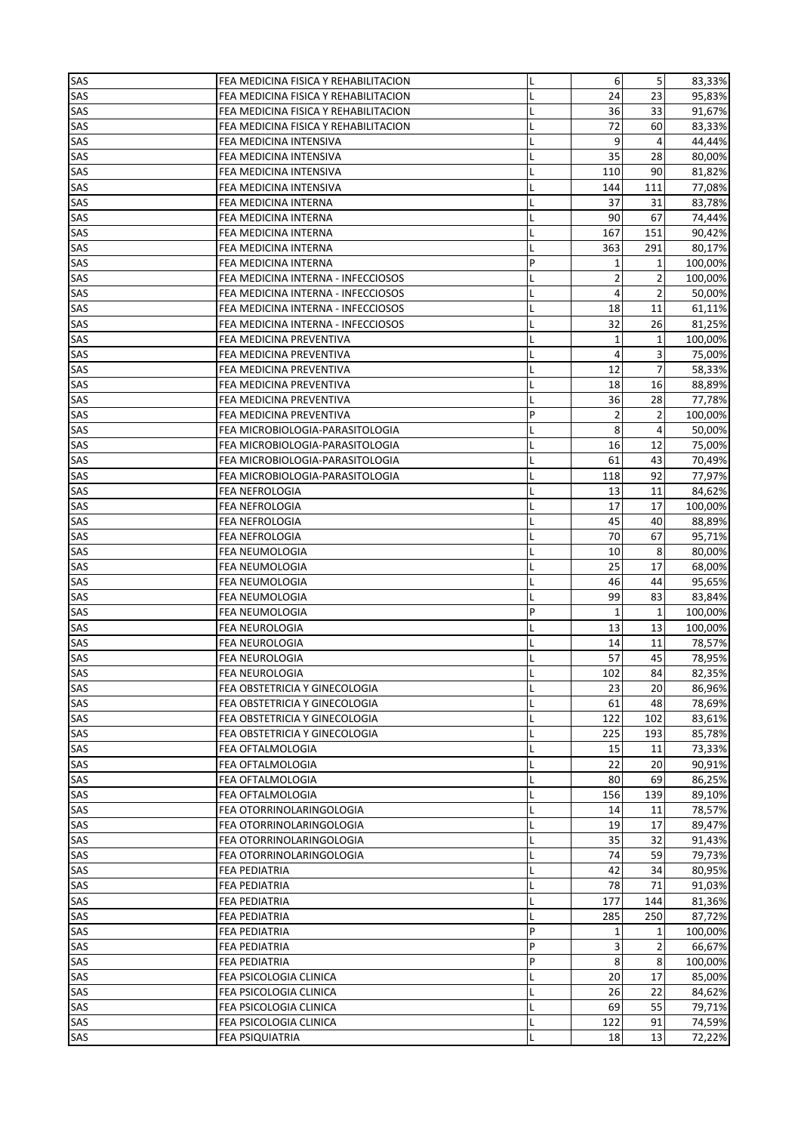| SAS | FEA MEDICINA FISICA Y REHABILITACION | L | 6            | 5              | 83,33%  |
|-----|--------------------------------------|---|--------------|----------------|---------|
| SAS | FEA MEDICINA FISICA Y REHABILITACION | L | 24           | 23             | 95,83%  |
| SAS | FEA MEDICINA FISICA Y REHABILITACION | L | 36           | 33             | 91,67%  |
| SAS | FEA MEDICINA FISICA Y REHABILITACION |   | 72           | 60             | 83,33%  |
| SAS | FEA MEDICINA INTENSIVA               | L | 9            | 4              | 44,44%  |
| SAS | FEA MEDICINA INTENSIVA               |   | 35           | 28             | 80,00%  |
| SAS | FEA MEDICINA INTENSIVA               |   | 110          | 90             | 81,82%  |
| SAS | FEA MEDICINA INTENSIVA               |   | 144          | 111            | 77,08%  |
| SAS | FEA MEDICINA INTERNA                 | L | 37           | 31             | 83,78%  |
| SAS |                                      | L | 90           | 67             | 74,44%  |
|     | FEA MEDICINA INTERNA                 |   |              |                | 90,42%  |
| SAS | FEA MEDICINA INTERNA                 | L | 167          | 151            |         |
| SAS | FEA MEDICINA INTERNA                 |   | 363          | 291            | 80,17%  |
| SAS | FEA MEDICINA INTERNA                 | P | $\mathbf{1}$ | 1              | 100,00% |
| SAS | FEA MEDICINA INTERNA - INFECCIOSOS   | L | 2            | $\overline{2}$ | 100,00% |
| SAS | FEA MEDICINA INTERNA - INFECCIOSOS   | L | 4            | $\overline{2}$ | 50,00%  |
| SAS | FEA MEDICINA INTERNA - INFECCIOSOS   | L | 18           | 11             | 61,11%  |
| SAS | FEA MEDICINA INTERNA - INFECCIOSOS   | L | 32           | 26             | 81,25%  |
| SAS | FEA MEDICINA PREVENTIVA              | L | $\mathbf{1}$ | $\mathbf{1}$   | 100,00% |
| SAS | FEA MEDICINA PREVENTIVA              | L | 4            | 3              | 75,00%  |
| SAS | FEA MEDICINA PREVENTIVA              | L | 12           | $\overline{7}$ | 58,33%  |
| SAS | FEA MEDICINA PREVENTIVA              | L | 18           | 16             | 88,89%  |
| SAS | FEA MEDICINA PREVENTIVA              | L | 36           | 28             | 77,78%  |
| SAS | FEA MEDICINA PREVENTIVA              | P | 2            | $\overline{2}$ | 100,00% |
| SAS | FEA MICROBIOLOGIA-PARASITOLOGIA      |   | 8            | 4              | 50,00%  |
| SAS | FEA MICROBIOLOGIA-PARASITOLOGIA      |   | 16           | 12             | 75,00%  |
| SAS | FEA MICROBIOLOGIA-PARASITOLOGIA      | L | 61           | 43             | 70,49%  |
| SAS |                                      |   |              |                |         |
|     | FEA MICROBIOLOGIA-PARASITOLOGIA      | L | 118          | 92             | 77,97%  |
| SAS | FEA NEFROLOGIA                       | L | 13           | 11             | 84,62%  |
| SAS | FEA NEFROLOGIA                       |   | 17           | 17             | 100,00% |
| SAS | FEA NEFROLOGIA                       |   | 45           | 40             | 88,89%  |
| SAS | FEA NEFROLOGIA                       |   | 70           | 67             | 95,71%  |
| SAS | FEA NEUMOLOGIA                       |   | 10           | 8              | 80,00%  |
| SAS | FEA NEUMOLOGIA                       |   | 25           | 17             | 68,00%  |
| SAS | FEA NEUMOLOGIA                       | L | 46           | 44             | 95,65%  |
| SAS | FEA NEUMOLOGIA                       | L | 99           | 83             | 83,84%  |
| SAS | FEA NEUMOLOGIA                       | P | $\mathbf{1}$ | $\mathbf{1}$   | 100,00% |
| SAS | FEA NEUROLOGIA                       | Г | 13           | 13             | 100,00% |
| SAS | FEA NEUROLOGIA                       | L | 14           | 11             | 78,57%  |
| SAS | <b>FEA NEUROLOGIA</b>                |   | 57           | 45             | 78,95%  |
| SAS | <b>FEA NEUROLOGIA</b>                |   | 102          | 84             | 82,35%  |
| SAS | FEA OBSTETRICIA Y GINECOLOGIA        | L | 23           | 20             | 86,96%  |
| SAS | FEA OBSTETRICIA Y GINECOLOGIA        | L | 61           | 48             | 78,69%  |
| SAS | FEA OBSTETRICIA Y GINECOLOGIA        | L | 122          | 102            | 83,61%  |
| SAS | FEA OBSTETRICIA Y GINECOLOGIA        | Г | 225          | 193            | 85,78%  |
| SAS | FEA OFTALMOLOGIA                     |   | 15           | 11             |         |
|     |                                      |   |              |                | 73,33%  |
| SAS | FEA OFTALMOLOGIA                     |   | 22           | 20             | 90,91%  |
| SAS | FEA OFTALMOLOGIA                     | L | 80           | 69             | 86,25%  |
| SAS | FEA OFTALMOLOGIA                     | L | 156          | 139            | 89,10%  |
| SAS | FEA OTORRINOLARINGOLOGIA             | L | 14           | 11             | 78,57%  |
| SAS | FEA OTORRINOLARINGOLOGIA             |   | 19           | 17             | 89,47%  |
| SAS | FEA OTORRINOLARINGOLOGIA             | L | 35           | 32             | 91,43%  |
| SAS | FEA OTORRINOLARINGOLOGIA             | L | 74           | 59             | 79,73%  |
| SAS | FEA PEDIATRIA                        |   | 42           | 34             | 80,95%  |
| SAS | FEA PEDIATRIA                        |   | 78           | 71             | 91,03%  |
| SAS | FEA PEDIATRIA                        |   | 177          | 144            | 81,36%  |
| SAS | FEA PEDIATRIA                        | L | 285          | 250            | 87,72%  |
| SAS | FEA PEDIATRIA                        | P | 1            | 1              | 100,00% |
| SAS | FEA PEDIATRIA                        | P | 3            | 2              | 66,67%  |
| SAS | FEA PEDIATRIA                        | P | 8            | 8              | 100,00% |
| SAS | FEA PSICOLOGIA CLINICA               | Г | 20           | 17             | 85,00%  |
| SAS | FEA PSICOLOGIA CLINICA               | L | 26           | 22             | 84,62%  |
| SAS | FEA PSICOLOGIA CLINICA               | L | 69           | 55             |         |
|     |                                      |   |              |                | 79,71%  |
| SAS | FEA PSICOLOGIA CLINICA               | L | 122          | 91             | 74,59%  |
| SAS | <b>FEA PSIQUIATRIA</b>               | L | 18           | 13             | 72,22%  |